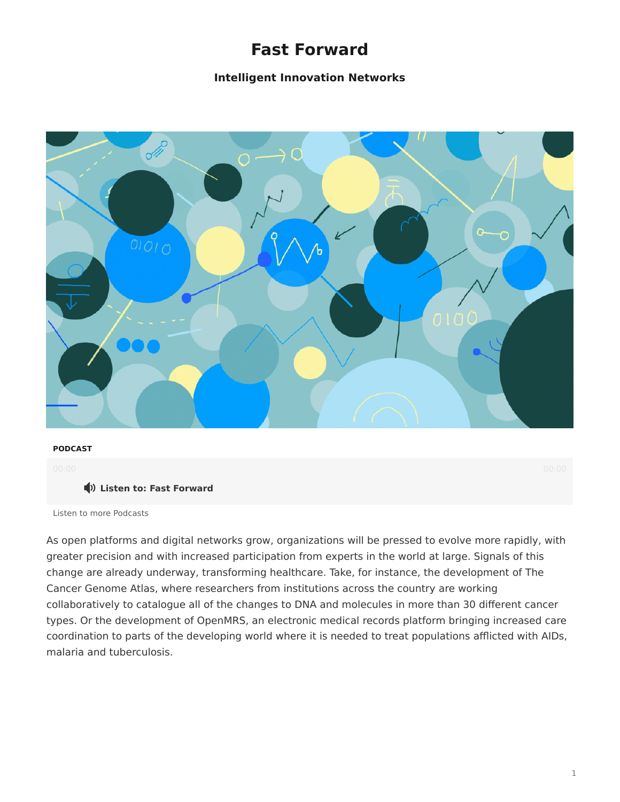# **Fast Forward**

# **Intelligent Innovation Networks**



### **PODCAST**

### **Listen to: Fast Forward**

### [Listen to more Podcasts](https://www.steelcase.com/eu-en/research/podcasts/)

As open platforms and digital networks grow, organizations will be pressed to evolve more rapidly, with greater precision and with increased participation from experts in the world at large. Signals of this change are already underway, transforming healthcare. Take, for instance, the development of The Cancer Genome Atlas, where researchers from institutions across the country are working collaboratively to catalogue all of the changes to DNA and molecules in more than 30 different cancer types. Or the development of OpenMRS, an electronic medical records platform bringing increased care coordination to parts of the developing world where it is needed to treat populations afflicted with AIDs, malaria and tuberculosis.